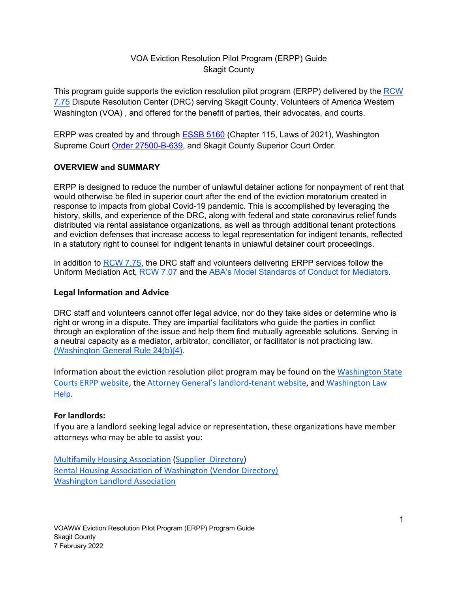# VOA Eviction Resolution Pilot Program (ERPP) Guide Skagit County

This program guide supports the eviction resolution pilot program (ERPP) delivered by the RCW 7.75 Dispute Resolution Center (DRC) serving Skagit County, Volunteers of America Western Washington (VOA) , and offered for the benefit of parties, their advocates, and courts.

ERPP was created by and through ESSB 5160 (Chapter 115, Laws of 2021), Washington Supreme Court Order 27500-B-639, and Skagit County Superior Court Order.

### **OVERVIEW and SUMMARY**

ERPP is designed to reduce the number of unlawful detainer actions for nonpayment of rent that would otherwise be filed in superior court after the end of the eviction moratorium created in response to impacts from global Covid-19 pandemic. This is accomplished by leveraging the history, skills, and experience of the DRC, along with federal and state coronavirus relief funds distributed via rental assistance organizations, as well as through additional tenant protections and eviction defenses that increase access to legal representation for indigent tenants, reflected in a statutory right to counsel for indigent tenants in unlawful detainer court proceedings.

In addition to RCW 7.75, the DRC staff and volunteers delivering ERPP services follow the Uniform Mediation Act, RCW 7.07 and the ABA's Model Standards of Conduct for Mediators.

### **Legal Information and Advice**

DRC staff and volunteers cannot offer legal advice, nor do they take sides or determine who is right or wrong in a dispute. They are impartial facilitators who guide the parties in conflict through an exploration of the issue and help them find mutually agreeable solutions. Serving in a neutral capacity as a mediator, arbitrator, conciliator, or facilitator is not practicing law. (Washington General Rule 24(b)(4).

Information about the eviction resolution pilot program may be found on the Washington State Courts ERPP website, the Attorney General's landlord-tenant website, and Washington Law Help.

### **For landlords:**

If you are a landlord seeking legal advice or representation, these organizations have member attorneys who may be able to assist you:

Multifamily Housing Association (Supplier Directory) Rental Housing Association of Washington (Vendor Directory) Washington Landlord Association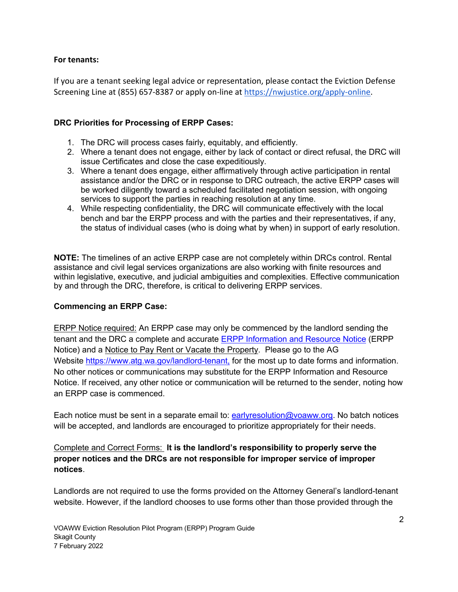### **For tenants:**

If you are a tenant seeking legal advice or representation, please contact the Eviction Defense Screening Line at (855) 657-8387 or apply on-line at https://nwjustice.org/apply-online.

## **DRC Priorities for Processing of ERPP Cases:**

- 1. The DRC will process cases fairly, equitably, and efficiently.
- 2. Where a tenant does not engage, either by lack of contact or direct refusal, the DRC will issue Certificates and close the case expeditiously.
- 3. Where a tenant does engage, either affirmatively through active participation in rental assistance and/or the DRC or in response to DRC outreach, the active ERPP cases will be worked diligently toward a scheduled facilitated negotiation session, with ongoing services to support the parties in reaching resolution at any time.
- 4. While respecting confidentiality, the DRC will communicate effectively with the local bench and bar the ERPP process and with the parties and their representatives, if any, the status of individual cases (who is doing what by when) in support of early resolution.

**NOTE:** The timelines of an active ERPP case are not completely within DRCs control. Rental assistance and civil legal services organizations are also working with finite resources and within legislative, executive, and judicial ambiguities and complexities. Effective communication by and through the DRC, therefore, is critical to delivering ERPP services.

### **Commencing an ERPP Case:**

ERPP Notice required: An ERPP case may only be commenced by the landlord sending the tenant and the DRC a complete and accurate ERPP Information and Resource Notice (ERPP Notice) and a Notice to Pay Rent or Vacate the Property. Please go to the AG Website https://www.atg.wa.gov/landlord-tenant, for the most up to date forms and information. No other notices or communications may substitute for the ERPP Information and Resource Notice. If received, any other notice or communication will be returned to the sender, noting how an ERPP case is commenced.

Each notice must be sent in a separate email to: earlyresolution@voaww.org. No batch notices will be accepted, and landlords are encouraged to prioritize appropriately for their needs.

# Complete and Correct Forms: **It is the landlord's responsibility to properly serve the proper notices and the DRCs are not responsible for improper service of improper notices**.

Landlords are not required to use the forms provided on the Attorney General's landlord-tenant website. However, if the landlord chooses to use forms other than those provided through the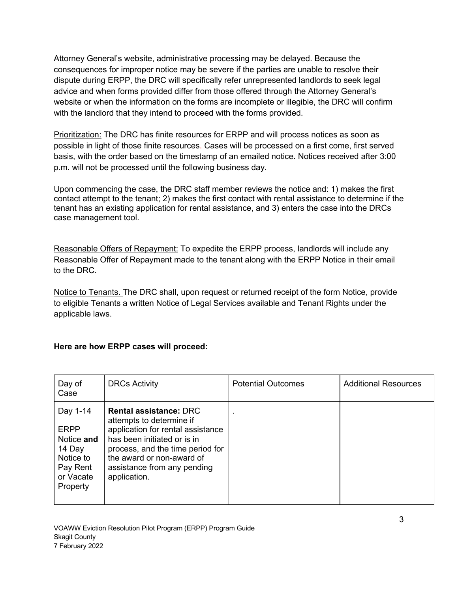Attorney General's website, administrative processing may be delayed. Because the consequences for improper notice may be severe if the parties are unable to resolve their dispute during ERPP, the DRC will specifically refer unrepresented landlords to seek legal advice and when forms provided differ from those offered through the Attorney General's website or when the information on the forms are incomplete or illegible, the DRC will confirm with the landlord that they intend to proceed with the forms provided.

Prioritization: The DRC has finite resources for ERPP and will process notices as soon as possible in light of those finite resources. Cases will be processed on a first come, first served basis, with the order based on the timestamp of an emailed notice. Notices received after 3:00 p.m. will not be processed until the following business day.

Upon commencing the case, the DRC staff member reviews the notice and: 1) makes the first contact attempt to the tenant; 2) makes the first contact with rental assistance to determine if the tenant has an existing application for rental assistance, and 3) enters the case into the DRCs case management tool.

Reasonable Offers of Repayment: To expedite the ERPP process, landlords will include any Reasonable Offer of Repayment made to the tenant along with the ERPP Notice in their email to the DRC.

Notice to Tenants. The DRC shall, upon request or returned receipt of the form Notice, provide to eligible Tenants a written Notice of Legal Services available and Tenant Rights under the applicable laws.

### **Here are how ERPP cases will proceed:**

| Day of<br>Case                                                                                    | <b>DRCs Activity</b>                                                                                                                                                                                                                          | <b>Potential Outcomes</b> | <b>Additional Resources</b> |
|---------------------------------------------------------------------------------------------------|-----------------------------------------------------------------------------------------------------------------------------------------------------------------------------------------------------------------------------------------------|---------------------------|-----------------------------|
| Day 1-14<br><b>ERPP</b><br>Notice and<br>14 Day<br>Notice to<br>Pay Rent<br>or Vacate<br>Property | <b>Rental assistance: DRC</b><br>attempts to determine if<br>application for rental assistance<br>has been initiated or is in<br>process, and the time period for<br>the award or non-award of<br>assistance from any pending<br>application. | $\blacksquare$            |                             |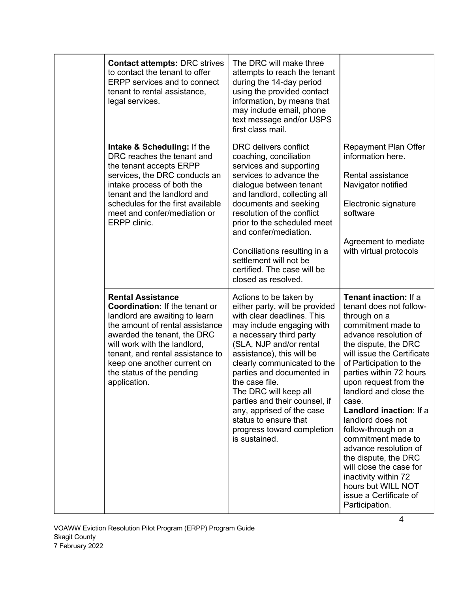|  | <b>Contact attempts: DRC strives</b><br>to contact the tenant to offer<br><b>ERPP</b> services and to connect<br>tenant to rental assistance,<br>legal services.                                                                                                                                                      | The DRC will make three<br>attempts to reach the tenant<br>during the 14-day period<br>using the provided contact<br>information, by means that<br>may include email, phone<br>text message and/or USPS<br>first class mail.                                                                                                                                                                                                                        |                                                                                                                                                                                                                                                                                                                                                                                                                                                                                                                                                            |
|--|-----------------------------------------------------------------------------------------------------------------------------------------------------------------------------------------------------------------------------------------------------------------------------------------------------------------------|-----------------------------------------------------------------------------------------------------------------------------------------------------------------------------------------------------------------------------------------------------------------------------------------------------------------------------------------------------------------------------------------------------------------------------------------------------|------------------------------------------------------------------------------------------------------------------------------------------------------------------------------------------------------------------------------------------------------------------------------------------------------------------------------------------------------------------------------------------------------------------------------------------------------------------------------------------------------------------------------------------------------------|
|  | Intake & Scheduling: If the<br>DRC reaches the tenant and<br>the tenant accepts ERPP<br>services, the DRC conducts an<br>intake process of both the<br>tenant and the landlord and<br>schedules for the first available<br>meet and confer/mediation or<br>ERPP clinic.                                               | DRC delivers conflict<br>coaching, conciliation<br>services and supporting<br>services to advance the<br>dialogue between tenant<br>and landlord, collecting all<br>documents and seeking<br>resolution of the conflict<br>prior to the scheduled meet<br>and confer/mediation.<br>Conciliations resulting in a<br>settlement will not be<br>certified. The case will be<br>closed as resolved.                                                     | Repayment Plan Offer<br>information here.<br>Rental assistance<br>Navigator notified<br>Electronic signature<br>software<br>Agreement to mediate<br>with virtual protocols                                                                                                                                                                                                                                                                                                                                                                                 |
|  | <b>Rental Assistance</b><br><b>Coordination:</b> If the tenant or<br>landlord are awaiting to learn<br>the amount of rental assistance<br>awarded the tenant, the DRC<br>will work with the landlord,<br>tenant, and rental assistance to<br>keep one another current on<br>the status of the pending<br>application. | Actions to be taken by<br>either party, will be provided<br>with clear deadlines. This<br>may include engaging with<br>a necessary third party<br>(SLA, NJP and/or rental<br>assistance), this will be<br>clearly communicated to the<br>parties and documented in<br>the case file.<br>The DRC will keep all<br>parties and their counsel, if<br>any, apprised of the case<br>status to ensure that<br>progress toward completion<br>is sustained. | Tenant inaction: If a<br>tenant does not follow-<br>through on a<br>commitment made to<br>advance resolution of<br>the dispute, the DRC<br>will issue the Certificate<br>of Participation to the<br>parties within 72 hours<br>upon request from the<br>landlord and close the<br>case.<br>Landlord inaction: If a<br>landlord does not<br>follow-through on a<br>commitment made to<br>advance resolution of<br>the dispute, the DRC<br>will close the case for<br>inactivity within 72<br>hours but WILL NOT<br>issue a Certificate of<br>Participation. |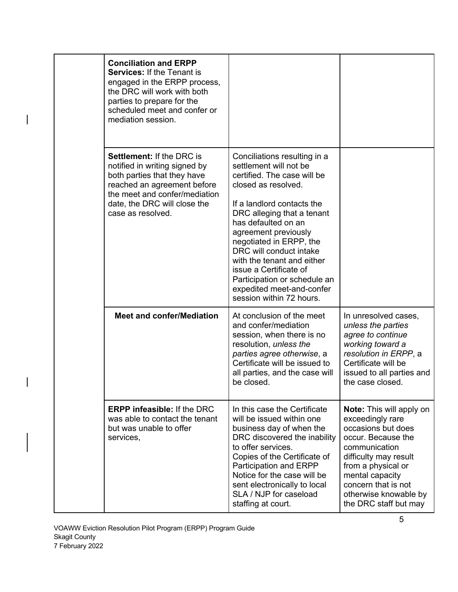|  | <b>Conciliation and ERPP</b><br><b>Services: If the Tenant is</b><br>engaged in the ERPP process,<br>the DRC will work with both<br>parties to prepare for the<br>scheduled meet and confer or<br>mediation session.  |                                                                                                                                                                                                                                                                                                                                                                                                                                |                                                                                                                                                                                                                                                             |
|--|-----------------------------------------------------------------------------------------------------------------------------------------------------------------------------------------------------------------------|--------------------------------------------------------------------------------------------------------------------------------------------------------------------------------------------------------------------------------------------------------------------------------------------------------------------------------------------------------------------------------------------------------------------------------|-------------------------------------------------------------------------------------------------------------------------------------------------------------------------------------------------------------------------------------------------------------|
|  | <b>Settlement: If the DRC is</b><br>notified in writing signed by<br>both parties that they have<br>reached an agreement before<br>the meet and confer/mediation<br>date, the DRC will close the<br>case as resolved. | Conciliations resulting in a<br>settlement will not be<br>certified. The case will be<br>closed as resolved.<br>If a landlord contacts the<br>DRC alleging that a tenant<br>has defaulted on an<br>agreement previously<br>negotiated in ERPP, the<br>DRC will conduct intake<br>with the tenant and either<br>issue a Certificate of<br>Participation or schedule an<br>expedited meet-and-confer<br>session within 72 hours. |                                                                                                                                                                                                                                                             |
|  | <b>Meet and confer/Mediation</b>                                                                                                                                                                                      | At conclusion of the meet<br>and confer/mediation<br>session, when there is no<br>resolution, unless the<br>parties agree otherwise, a<br>Certificate will be issued to<br>all parties, and the case will<br>be closed.                                                                                                                                                                                                        | In unresolved cases,<br>unless the parties<br>agree to continue<br>working toward a<br>resolution in ERPP, a<br>Certificate will be<br>issued to all parties and<br>the case closed.                                                                        |
|  | <b>ERPP infeasible: If the DRC</b><br>was able to contact the tenant<br>but was unable to offer<br>services,                                                                                                          | In this case the Certificate<br>will be issued within one<br>business day of when the<br>DRC discovered the inability<br>to offer services.<br>Copies of the Certificate of<br>Participation and ERPP<br>Notice for the case will be<br>sent electronically to local<br>SLA / NJP for caseload<br>staffing at court.                                                                                                           | <b>Note:</b> This will apply on<br>exceedingly rare<br>occasions but does<br>occur. Because the<br>communication<br>difficulty may result<br>from a physical or<br>mental capacity<br>concern that is not<br>otherwise knowable by<br>the DRC staff but may |

 $\overline{\phantom{a}}$ 

 $\begin{array}{c} \hline \end{array}$ 

 $\overline{\phantom{a}}$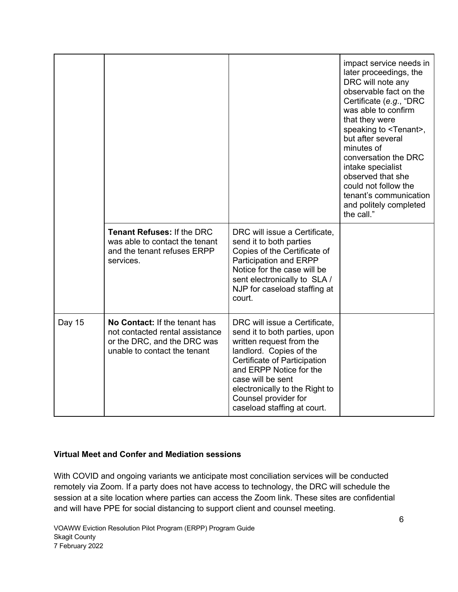|        |                                                                                                                                 |                                                                                                                                                                                                                                                                                                | impact service needs in<br>later proceedings, the<br>DRC will note any<br>observable fact on the<br>Certificate (e.g., "DRC<br>was able to confirm<br>that they were<br>speaking to <tenant>,<br/>but after several<br/>minutes of<br/>conversation the DRC<br/>intake specialist<br/>observed that she<br/>could not follow the<br/>tenant's communication<br/>and politely completed<br/>the call."</tenant> |
|--------|---------------------------------------------------------------------------------------------------------------------------------|------------------------------------------------------------------------------------------------------------------------------------------------------------------------------------------------------------------------------------------------------------------------------------------------|----------------------------------------------------------------------------------------------------------------------------------------------------------------------------------------------------------------------------------------------------------------------------------------------------------------------------------------------------------------------------------------------------------------|
|        | <b>Tenant Refuses: If the DRC</b><br>was able to contact the tenant<br>and the tenant refuses ERPP<br>services.                 | DRC will issue a Certificate,<br>send it to both parties<br>Copies of the Certificate of<br>Participation and ERPP<br>Notice for the case will be<br>sent electronically to SLA /<br>NJP for caseload staffing at<br>court.                                                                    |                                                                                                                                                                                                                                                                                                                                                                                                                |
| Day 15 | No Contact: If the tenant has<br>not contacted rental assistance<br>or the DRC, and the DRC was<br>unable to contact the tenant | DRC will issue a Certificate,<br>send it to both parties, upon<br>written request from the<br>landlord. Copies of the<br>Certificate of Participation<br>and ERPP Notice for the<br>case will be sent<br>electronically to the Right to<br>Counsel provider for<br>caseload staffing at court. |                                                                                                                                                                                                                                                                                                                                                                                                                |

### **Virtual Meet and Confer and Mediation sessions**

With COVID and ongoing variants we anticipate most conciliation services will be conducted remotely via Zoom. If a party does not have access to technology, the DRC will schedule the session at a site location where parties can access the Zoom link. These sites are confidential and will have PPE for social distancing to support client and counsel meeting.

VOAWW Eviction Resolution Pilot Program (ERPP) Program Guide Skagit County 7 February 2022